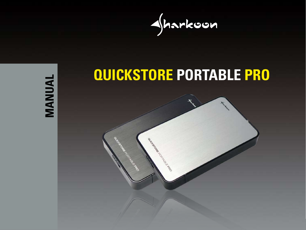

MANUAL **MANUAL**

# **QUICKSTORE PORTABLE PRO**

Angeland R.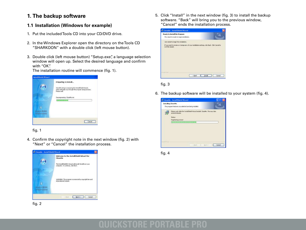### **1. The backup software**

#### **1.1 Installation (Windows for example)**

- 1. Put the included Tools CD into your CD/DVD drive.
- 2. In the Windows Explorer open the directory on the Tools CD "SHARKOON" with a double click (left mouse button).
- 3. Double click (left mouse button) "Setup.exe", a language selection window will open up. Select the desired language and confirm with "OK".

The installation routine will commence (fig. 1).



fig. 1

4. Confirm the copyright note in the next window (fig. 2) with "Next" or "Cancel" the installation process.



5. Click "Install" in the next window (fig. 3) to install the backup software. "Back" will bring you to the previous window, "Cancel" ends the installation process.



fig. 3

6. The backup software will be installed to your system (fig. 4).



fig. 4

fig. 2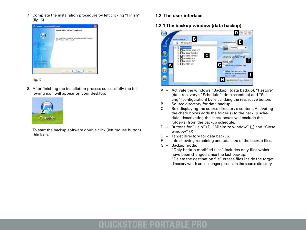7. Complete the installation procedure by left clicking "Finish" (fig. 5).





8. After finishing the installation process successfully the following icon will appear on your desktop:



To start the backup software double click (left mouse button) this icon.

- **1.2 The user interface**
- **1.2.1 The backup window (data backup)**



- A Activate the windows "Backup" (data backup), "Restore" (data recovery), "Schedule" (time schedule) and "Set ting" (configuration) by left clicking the respective button.
- B Source directory for data backup.
- C Box displaying the source directory's content. Activating the check boxes adds the folder(s) to the backup sche dule, deactivating the check boxes will exclude the folder(s) from the backup schedule.
- D Buttons for "Help" (?), "Minimize window" (\_) and "Close window" (X).
- E Target directory for data backup.
- F Info showing remaining and total size of the backup files.
- G Backup mode:

 "Only backup modified files" includes only files which have been changed since the last backup;

 "Delete the destination file" erases files inside the target directory which are no longer present in the source directory.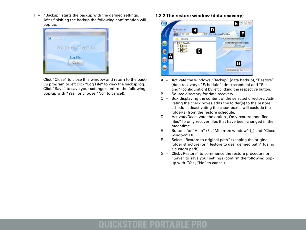H – "Backup" starts the backup with the defined settings. After finishing the backup the following confirmation will pop up:



 Click "Close" to close this window and return to the back up program or left click "Log File" to view the backup log.

I – Click "Save" to save your settings (confirm the following pop-up with "Yes" or choose "No" to cancel).

**1.2.2 The restore window (data recovery)**



- A Activate the windows "Backup" (data backup), "Restore" (data recovery), "Schedule" (time schedule) and "Set ting" (configuration) by left clicking the respective button.
- B Source directory for data recovery.
- C Box displaying the content of the selected directory. Acti vating the check boxes adds the folder(s) to the restore schedule, deactivating the check boxes will exclude the folder(s) from the restore schedule.
- $D -$  Activate/Deactivate the option "Only restore modified files" to only recover files that have been changed in the meantime.
- E Buttons for "Help" (?), "Minimize window" () and "Close window" (X).
- F Select "Restore to original path" (keeping the original folder structure) or "Restore to user defined path" (using a custom path).
- G Click "Restore" to commence the restore procedure or "Save" to save your settings (confirm the following pop up with "Yes", "No" to cancel).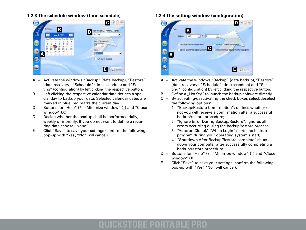**1.2.3 The schedule window (time schedule)**



- A Activate the windows "Backup" (data backup), "Restore" (data recovery), "Schedule" (time schedule) and "Set ting" (configuration) by left clicking the respective button.
- B Left clicking the respective calendar date defines a spe cial day to backup your data. Selected calendar dates are marked in blue, red marks the current day.
- C Buttons for "Help" (?), "Minimize window" (\_) and "Close window" (X).
- D Decide whether the backup shall be performed daily, weekly or monthly. If you do not want to define a recur ring date choose "None".
- E Click "Save" to save your settings (confirm the following pop-up with "Yes", "No" will cancel).

#### **1.2.4 The setting window (configuration)**



- A Activate the windows "Backup" (data backup), "Restore" (data recovery), "Schedule" (time schedule) and "Set ting" (configuration) by left clicking the respective button.
- $B -$  Define a "HotKey" to launch the backup software directly.
- C By activating/deactivating the check boxes select/deselect the following options:
	- 1. "Backup/Restore Confirmation": defines whether or not you will receive a confirmation after a successful backup/restore procedure;
	- 2. "Ignore Error During Backup/Restore": ignores all errors occurring during the backup/restore process;
	- 3. "Autorun CloneMe When Login" starts the backup program during your operating system's start;
	- 4. "Shutdown After Backup/Restore complete" shuts down your computer after successfully completing a backup/restore procedure.
- D Buttons for "Help" (?), "Minimize window" (\_) and "Close window" (X).
- E Click "Save" to save your settings (confirm the following pop-up with "Yes", "No" will cancel).